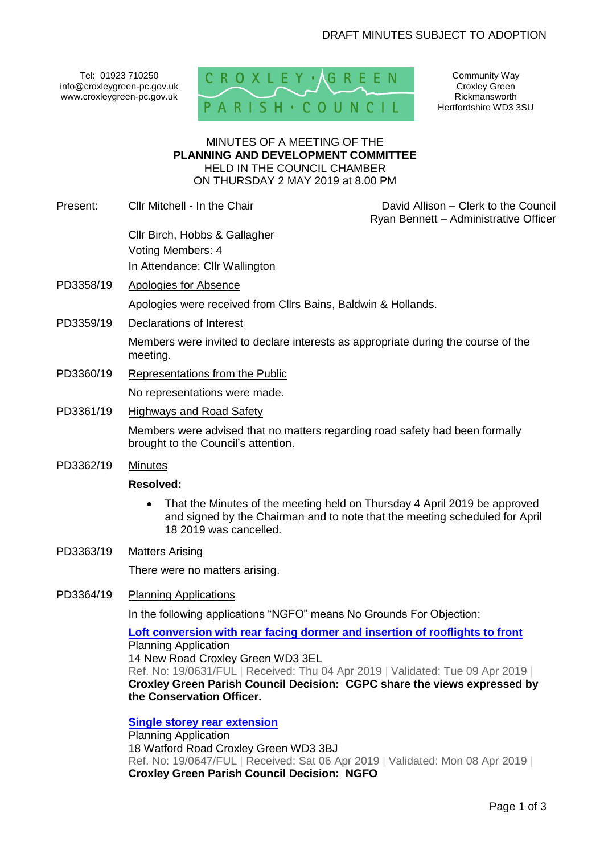Tel: 01923 710250 info@croxleygreen-pc.gov.uk www.croxleygreen-pc.gov.uk



Community Way Croxley Green Rickmansworth Hertfordshire WD3 3SU

### MINUTES OF A MEETING OF THE **PLANNING AND DEVELOPMENT COMMITTEE** HELD IN THE COUNCIL CHAMBER ON THURSDAY 2 MAY 2019 at 8.00 PM

- Present: Cllr Mitchell In the Chair David Allison Clerk to the Council Ryan Bennett – Administrative Officer Cllr Birch, Hobbs & Gallagher Voting Members: 4 In Attendance: Cllr Wallington
- PD3358/19 Apologies for Absence Apologies were received from Cllrs Bains, Baldwin & Hollands.
- PD3359/19 Declarations of Interest

Members were invited to declare interests as appropriate during the course of the meeting.

- PD3360/19 Representations from the Public No representations were made.
- PD3361/19 Highways and Road Safety

Members were advised that no matters regarding road safety had been formally brought to the Council's attention.

PD3362/19 Minutes

## **Resolved:**

- That the Minutes of the meeting held on Thursday 4 April 2019 be approved and signed by the Chairman and to note that the meeting scheduled for April 18 2019 was cancelled.
- PD3363/19 Matters Arising

There were no matters arising.

PD3364/19 Planning Applications

In the following applications "NGFO" means No Grounds For Objection:

**[Loft conversion with rear facing dormer and insertion of rooflights to front](http://www3.threerivers.gov.uk/online-applications/applicationDetails.do?activeTab=summary&keyVal=PPFCWMQFMSS00&prevPage=inTray)** Planning Application 14 New Road Croxley Green WD3 3EL Ref. No: 19/0631/FUL | Received: Thu 04 Apr 2019 | Validated: Tue 09 Apr 2019 | **Croxley Green Parish Council Decision: CGPC share the views expressed by the Conservation Officer.**

**[Single storey rear extension](http://www3.threerivers.gov.uk/online-applications/applicationDetails.do?activeTab=summary&keyVal=PPJ24PQFMTE00&prevPage=inTray)**

Planning Application 18 Watford Road Croxley Green WD3 3BJ Ref. No: 19/0647/FUL | Received: Sat 06 Apr 2019 | Validated: Mon 08 Apr 2019 | **Croxley Green Parish Council Decision: NGFO**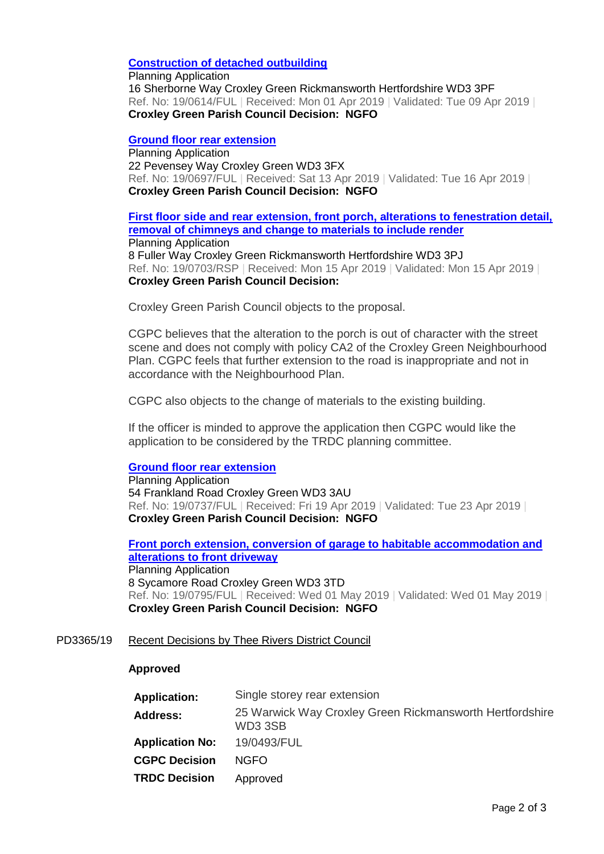### **[Construction of detached outbuilding](http://www3.threerivers.gov.uk/online-applications/applicationDetails.do?activeTab=summary&keyVal=PPAARIQF03N00&prevPage=inTray)**

Planning Application 16 Sherborne Way Croxley Green Rickmansworth Hertfordshire WD3 3PF Ref. No: 19/0614/FUL | Received: Mon 01 Apr 2019 | Validated: Tue 09 Apr 2019 | **Croxley Green Parish Council Decision: NGFO**

#### **[Ground floor rear extension](http://www3.threerivers.gov.uk/online-applications/applicationDetails.do?activeTab=summary&keyVal=PPW0TDQFMVU00&prevPage=inTray)**

Planning Application 22 Pevensey Way Croxley Green WD3 3FX Ref. No: 19/0697/FUL | Received: Sat 13 Apr 2019 | Validated: Tue 16 Apr 2019 | **Croxley Green Parish Council Decision: NGFO**

# **[First floor side and rear extension, front porch, alterations to fenestration detail,](http://www3.threerivers.gov.uk/online-applications/applicationDetails.do?activeTab=summary&keyVal=PQ070CQF03N00&prevPage=inTray)  [removal of chimneys and change to materials to include render](http://www3.threerivers.gov.uk/online-applications/applicationDetails.do?activeTab=summary&keyVal=PQ070CQF03N00&prevPage=inTray)** Planning Application

8 Fuller Way Croxley Green Rickmansworth Hertfordshire WD3 3PJ Ref. No: 19/0703/RSP | Received: Mon 15 Apr 2019 | Validated: Mon 15 Apr 2019 | **Croxley Green Parish Council Decision:** 

Croxley Green Parish Council objects to the proposal.

CGPC believes that the alteration to the porch is out of character with the street scene and does not comply with policy CA2 of the Croxley Green Neighbourhood Plan. CGPC feels that further extension to the road is inappropriate and not in accordance with the Neighbourhood Plan.

CGPC also objects to the change of materials to the existing building.

If the officer is minded to approve the application then CGPC would like the application to be considered by the TRDC planning committee.

### **[Ground floor rear extension](http://www3.threerivers.gov.uk/online-applications/applicationDetails.do?activeTab=summary&keyVal=PQ7FZ3QFMXA00&prevPage=inTray)**

Planning Application 54 Frankland Road Croxley Green WD3 3AU Ref. No: 19/0737/FUL | Received: Fri 19 Apr 2019 | Validated: Tue 23 Apr 2019 | **Croxley Green Parish Council Decision: NGFO**

**[Front porch extension, conversion of garage to habitable accommodation and](http://www3.threerivers.gov.uk/online-applications/applicationDetails.do?activeTab=summary&keyVal=PQTCWDQFN0M00&prevPage=inTray)  [alterations to front driveway](http://www3.threerivers.gov.uk/online-applications/applicationDetails.do?activeTab=summary&keyVal=PQTCWDQFN0M00&prevPage=inTray)** Planning Application 8 Sycamore Road Croxley Green WD3 3TD Ref. No: 19/0795/FUL | Received: Wed 01 May 2019 | Validated: Wed 01 May 2019 | **Croxley Green Parish Council Decision: NGFO**

### PD3365/19 Recent Decisions by Thee Rivers District Council

### **Approved**

| <b>Application:</b>    | Single storey rear extension                                       |  |
|------------------------|--------------------------------------------------------------------|--|
| <b>Address:</b>        | 25 Warwick Way Croxley Green Rickmansworth Hertfordshire<br>WD33SB |  |
| <b>Application No:</b> | 19/0493/FUL                                                        |  |
| <b>CGPC Decision</b>   | <b>NGFO</b>                                                        |  |
| <b>TRDC Decision</b>   | Approved                                                           |  |